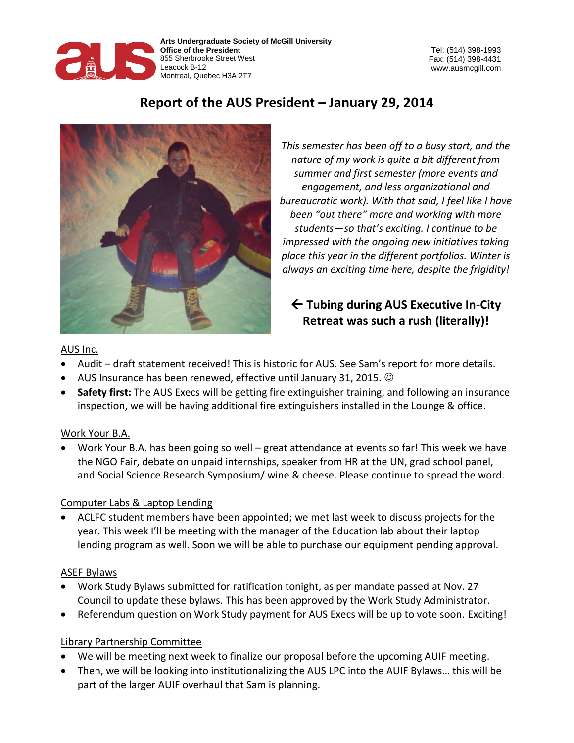

# **Report of the AUS President – January 29, 2014**



*This semester has been off to a busy start, and the nature of my work is quite a bit different from summer and first semester (more events and engagement, and less organizational and bureaucratic work). With that said, I feel like I have been "out there" more and working with more students—so that's exciting. I continue to be impressed with the ongoing new initiatives taking place this year in the different portfolios. Winter is always an exciting time here, despite the frigidity!*

## **Tubing during AUS Executive In-City Retreat was such a rush (literally)!**

## AUS Inc.

- Audit draft statement received! This is historic for AUS. See Sam's report for more details.
- AUS Insurance has been renewed, effective until January 31, 2015.
- **Safety first:** The AUS Execs will be getting fire extinguisher training, and following an insurance inspection, we will be having additional fire extinguishers installed in the Lounge & office.

## Work Your B.A.

Work Your B.A. has been going so well – great attendance at events so far! This week we have the NGO Fair, debate on unpaid internships, speaker from HR at the UN, grad school panel, and Social Science Research Symposium/ wine & cheese. Please continue to spread the word.

### Computer Labs & Laptop Lending

 ACLFC student members have been appointed; we met last week to discuss projects for the year. This week I'll be meeting with the manager of the Education lab about their laptop lending program as well. Soon we will be able to purchase our equipment pending approval.

## ASEF Bylaws

- Work Study Bylaws submitted for ratification tonight, as per mandate passed at Nov. 27 Council to update these bylaws. This has been approved by the Work Study Administrator.
- Referendum question on Work Study payment for AUS Execs will be up to vote soon. Exciting!

## Library Partnership Committee

- We will be meeting next week to finalize our proposal before the upcoming AUIF meeting.
- Then, we will be looking into institutionalizing the AUS LPC into the AUIF Bylaws… this will be part of the larger AUIF overhaul that Sam is planning.